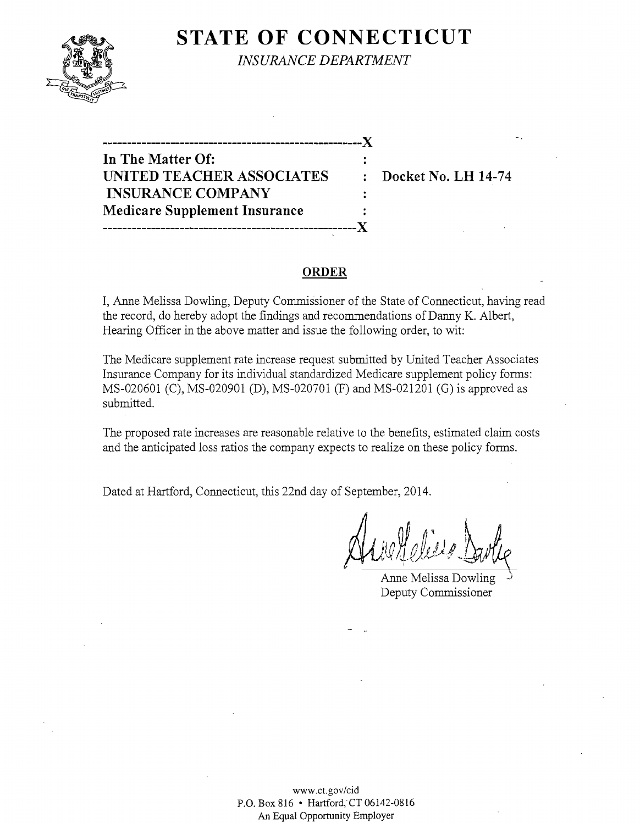

**STATE OF CONNECTICUT** *INSURANCE DEPARTMENT* 

**------------------------------------------------------)(** 

**In The Matter Of:**  UNITED TEACHER ASSOCIATES : Docket No. LH 14-74 **INSURANCE COMPANY Medicare Supplement Insurance -----------------------------------------------------J{** 

#### **ORDER**

I, Anne Melissa Dowling, Deputy Commissioner of the State of Connecticut, having read the record, do hereby adopt the findings and recommendations of Danny K. Albert, Hearing Officer in the above matter and issue the following order, to wit:

The Medicare supplement rate increase request submitted by United Teacher Associates Insurance Company for its individual standardized Medicare supplement policy forms: MS-020601 (C), MS-02090l (D), MS-020701 (F) and MS-021201 (G) is approved as submitted.

The proposed rate increases are reasonable relative to the benefits, estimated claim costs and the anticipated loss ratios the company expects to realize on these policy forms.

Dated at Hartford, Connecticut, this 22nd day of September, 2014.

 $\Delta$ ue Helieve  $1$ 

Anne Melissa Dowling-Deputy Commissioner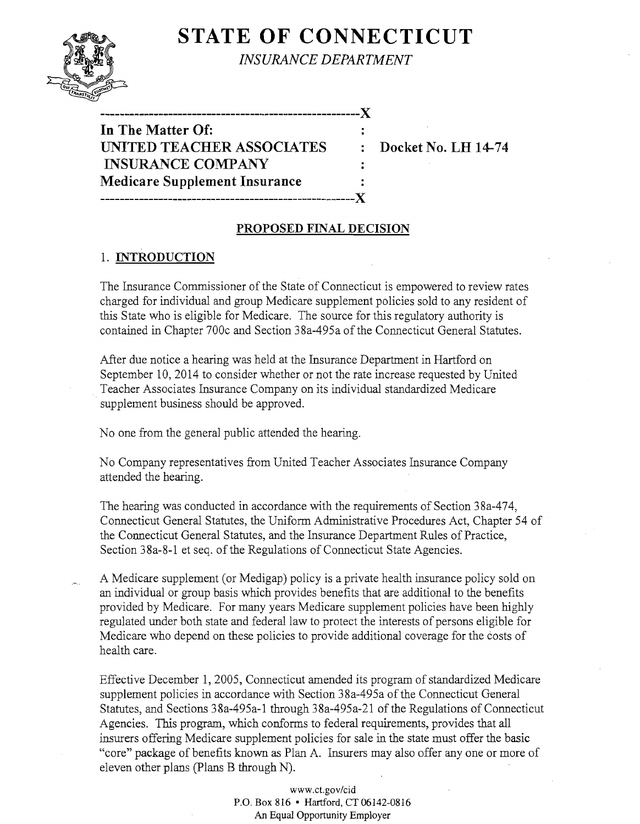# **STATE OF CONNECTICUT**



*INSURANCE DEPARTMENT* 

 $\ddot{\phantom{a}}$ 

 $\ddot{\cdot}$ 

**------------------------------------------------------)( In The Matter Of: UNITED TEACHER ASSOCIATES : Docket No. LH 14-74 INSURANCE COMPANY Medicare Supplement Insurance -----------------------------------------------------)(** 

## **PROPOSED FINAL DECISION**

## 1. **INTRODUCTION**

The Insurance Commissioner of the State of Connecticut is empowered to review rates charged for individual and group Medicare supplement policies sold to any resident of this State who is eligible for Medicare. The source for this regulatory authority is contained in Chapter 700c and Section 38a-495a of the Connecticut General Statutes.

After due notice a hearing was held at the Insurance Department in Hartford on September 10, 2014 to consider whether or not the rate increase requested by United Teacher Associates Insurance Company on its individual standardized Medicare . supplement business should be approved.

No one from the general public attended the hearing.

No Company representatives from United Teacher Associates Insurance Company attended the hearing.

The hearing was conducted in accordance with the requirements of Section 38a-474, Connecticut General Statutes, the Uniform Administrative Procedures Act, Chapter 54 of the Connecticut General Statutes, and the Insurance Department Rules of Practice, Section 38a-8-1 et seq. of the Regulations of Connecticut State Agencies.

A Medicare supplement (or Medigap) policy is a private health insurance policy sold on an individual or group basis which provides benefits that are additional to the benefits provided by Medicare. For many years Medicare supplement policies have been highly regulated under both state and federal law to protect the interests of persons eligible for Medicare who depend on these policies to provide additional coverage for the costs of health care.

Effective December 1,2005, Connecticut amended its program of standardized Medicare supplement policies in accordance with Section 38a-495a of the Connecticut General Statutes, and Sections 38a-495a-1 through 38a-495a-21 of the Regulations of Connecticut Agencies. This program, which conforms to federal requirements, provides that all insurers offering Medicare supplement policies for sale in the state must offer the basic "core" package of benefits known as Plan A. Insurers may also offer anyone or more of eleven other plans (plans B through N).

> www.ct.gov/cid P.O. Box 816 • Hartford, CT 06142-0816 An Equal Opportunity Employer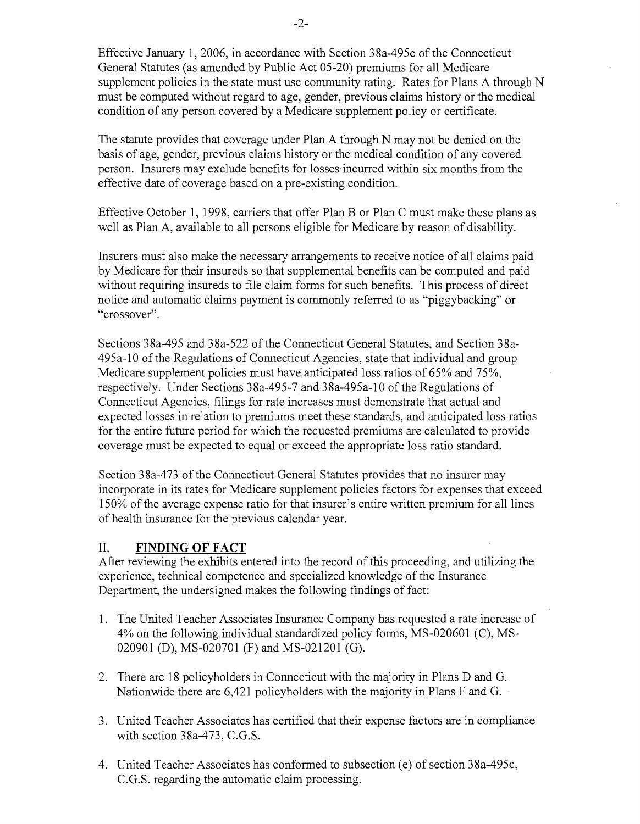Effective January 1,2006, in accordance with Section 38a-495c of the Connecticut General Statutes (as amended by Public Act 05~20) premiums for all Medicare supplement policies in the state must use community rating. Rates for Plans A through N must be computed without regard to age, gender, previous claims history or the medical condition of any person covered by a Medicare supplement policy or certificate.

The statute provides that coverage under Plan A through N may not be denied on the basis of age, gender, previous claims history or the medical condition of any covered person. Insurers may exclude benefits for losses incurred within six months from the effective date of coverage based on a pre-existing condition.

Effective October 1,1998, carriers that offer Plan B or Plan C must make these plans as well as Plan A, available to all persons eligible for Medicare by reason of disability.

Insurers must also make the necessary arrangements to receive notice of all claims paid by Medicare for their insureds so that supplemental benefits can be computed and paid without requiring insureds to file claim forms for such benefits. This process of direct notice and automatic claims payment is commonly referred to as "piggybacking" or "crossover".

Sections 38a-495 and 38a-522 of the Connecticut General Statutes, and Section 38a-495a-l0 of the Regulations of Connecticut Agencies, state that individual and group Medicare supplement policies must have anticipated loss ratios of 65% and 75%, respectively. Under Sections 38a-495-7and 38a-495a-l0 of the Regulations of Connecticut Agencies, filings for rate increases must demonstrate that actual and expected losses in relation to premiums meet these standards, and anticipated loss ratios for the entire future period for which the requested premiums are calculated to provide coverage must be expected to equal or exceed the appropriate loss ratio standard.

Section 38a-473 of the Connecticut General Statutes provides that no insurer may incorporate in its rates for Medicare supplement policies factors for expenses that exceed 150% of the average expense ratio for that insurer's entire written premium for all lines of health insurance for the previous calendar year.

## II. **FINDING OF FACT**

After reviewing the exhibits entered into the record of this proceeding, and utilizing the experience, technical competence and specialized knowledge of the Insurance Department, the undersigned makes the following findings of fact:

- 1. The United Teacher Associates Insurance Company has requested a rate increase of 4% on the following individual standardized policy forms, MS-020601 (C), MS-020901 (D), MS-020701 (F) and MS-021201 (G).
- 2. There are 18 policyholders in Connecticut with the majority in Plans D and G. Nationwide there are 6,421 policyholders with the majority in Plans F and G.
- 3. United Teacher Associates has certified that their expense factors are in compliance with section 38a-473, C.G.S.
- 4. United Teacher Associates has conformed to subsection (e) of section 38a-495c, C.G.S. regarding the automatic claim processing.